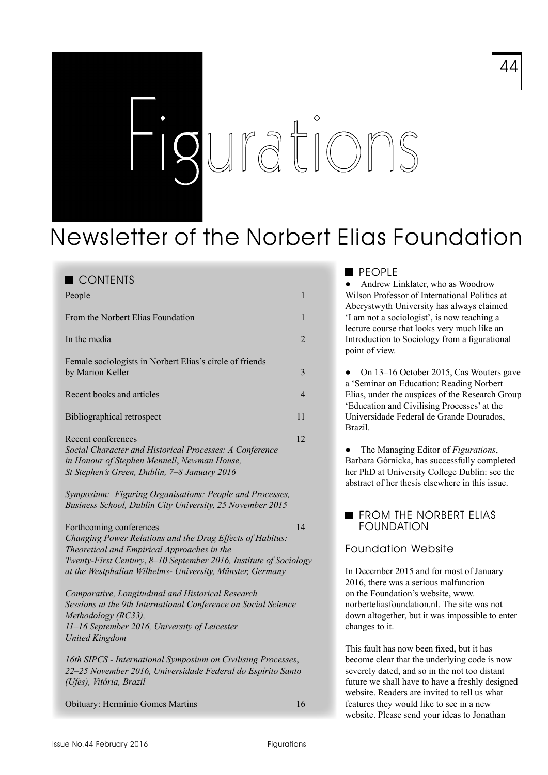# gurations

# Newsletter of the Norbert Elias Foundation

| $\blacksquare$ contents                                                                                                                                                      |                |
|------------------------------------------------------------------------------------------------------------------------------------------------------------------------------|----------------|
| People                                                                                                                                                                       | 1              |
| From the Norbert Elias Foundation                                                                                                                                            | 1              |
| In the media                                                                                                                                                                 | $\overline{2}$ |
| Female sociologists in Norbert Elias's circle of friends<br>by Marion Keller                                                                                                 | 3              |
| Recent books and articles                                                                                                                                                    | 4              |
| Bibliographical retrospect                                                                                                                                                   | 11             |
| Recent conferences<br>Social Character and Historical Processes: A Conference<br>in Honour of Stephen Mennell, Newman House,<br>St Stephen's Green, Dublin, 7–8 January 2016 | 12             |
| Symposium: Figuring Organisations: People and Processes,                                                                                                                     |                |

Forthcoming conferences 14 *Changing Power Relations and the Drag Effects of Habitus: Theoretical and Empirical Approaches in the Twenty*‐*First Century*, *8–10 September 2016, Institute of Sociology at the Westphalian Wilhelms- University, Münster, Germany*

*Business School, Dublin City University, 25 November 2015*

*Comparative, Longitudinal and Historical Research Sessions at the 9th International Conference on Social Science Methodology (RC33), 11–16 September 2016, University of Leicester United Kingdom*

*16th SIPCS - International Symposium on Civilising Processes*, *22–25 November 2016, Universidade Federal do Espírito Santo (Ufes), Vitória, Brazil*

Obituary: Hermínio Gomes Martins 16

# **PEOPLE**

● Andrew Linklater, who as Woodrow Wilson Professor of International Politics at Aberystwyth University has always claimed 'I am not a sociologist', is now teaching a lecture course that looks very much like an Introduction to Sociology from a figurational point of view.

• On 13–16 October 2015, Cas Wouters gave a 'Seminar on Education: Reading Norbert Elias, under the auspices of the Research Group 'Education and Civilising Processes' at the Universidade Federal de Grande Dourados, Brazil.

● The Managing Editor of *Figurations*, Barbara Górnicka, has successfully completed her PhD at University College Dublin: see the abstract of her thesis elsewhere in this issue.

# **FROM THE NORBERT FILAS** FOUNDATION

# Foundation Website

In December 2015 and for most of January 2016, there was a serious malfunction on the Foundation's website, www. norberteliasfoundation.nl. The site was not down altogether, but it was impossible to enter changes to it.

This fault has now been fixed, but it has become clear that the underlying code is now severely dated, and so in the not too distant future we shall have to have a freshly designed website. Readers are invited to tell us what features they would like to see in a new website. Please send your ideas to Jonathan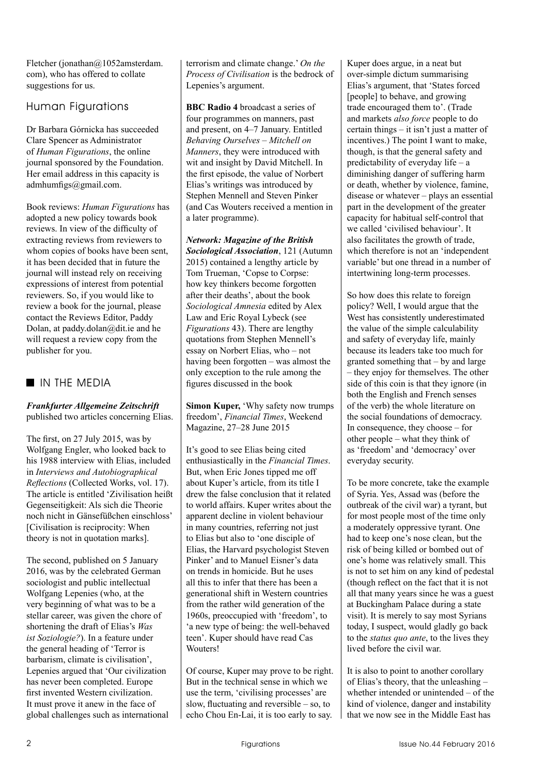Fletcher (jonathan@1052amsterdam. com), who has offered to collate suggestions for us.

# Human Figurations

Dr Barbara Górnicka has succeeded Clare Spencer as Administrator of *Human Figurations*, the online journal sponsored by the Foundation. Her email address in this capacity is admhumfigs@gmail.com.

Book reviews: *Human Figurations* has adopted a new policy towards book reviews. In view of the difficulty of extracting reviews from reviewers to whom copies of books have been sent, it has been decided that in future the journal will instead rely on receiving expressions of interest from potential reviewers. So, if you would like to review a book for the journal, please contact the Reviews Editor, Paddy Dolan, at paddy.dolan@dit.ie and he will request a review copy from the publisher for you.

# **IN THE MEDIA**

*Frankfurter Allgemeine Zeitschrift* published two articles concerning Elias.

The first, on 27 July 2015, was by Wolfgang Engler, who looked back to his 1988 interview with Elias, included in *Interviews and Autobiographical Reflections* (Collected Works, vol. 17). The article is entitled 'Zivilisation heißt Gegenseitigkeit: Als sich die Theorie noch nicht in Gänsefüßchen einschloss' [Civilisation is reciprocity: When theory is not in quotation marks].

The second, published on 5 January 2016, was by the celebrated German sociologist and public intellectual Wolfgang Lepenies (who, at the very beginning of what was to be a stellar career, was given the chore of shortening the draft of Elias's *Was ist Soziologie?*). In a feature under the general heading of 'Terror is barbarism, climate is civilisation', Lepenies argued that 'Our civilization has never been completed. Europe first invented Western civilization. It must prove it anew in the face of global challenges such as international terrorism and climate change.' *On the Process of Civilisation* is the bedrock of Lepenies's argument.

**BBC Radio 4** broadcast a series of four programmes on manners, past and present, on 4–7 January. Entitled *Behaving Ourselves – Mitchell on Manners*, they were introduced with wit and insight by David Mitchell. In the first episode, the value of Norbert Elias's writings was introduced by Stephen Mennell and Steven Pinker (and Cas Wouters received a mention in a later programme).

*Network: Magazine of the British Sociological Association*, 121 (Autumn 2015) contained a lengthy article by Tom Trueman, 'Copse to Corpse: how key thinkers become forgotten after their deaths', about the book *Sociological Amnesia* edited by Alex Law and Eric Royal Lybeck (see *Figurations* 43). There are lengthy quotations from Stephen Mennell's essay on Norbert Elias, who – not having been forgotten – was almost the only exception to the rule among the figures discussed in the book

**Simon Kuper,** 'Why safety now trumps freedom', *Financial Times*, Weekend Magazine, 27–28 June 2015

It's good to see Elias being cited enthusiastically in the *Financial Times*. But, when Eric Jones tipped me off about Kuper's article, from its title I drew the false conclusion that it related to world affairs. Kuper writes about the apparent decline in violent behaviour in many countries, referring not just to Elias but also to 'one disciple of Elias, the Harvard psychologist Steven Pinker' and to Manuel Eisner's data on trends in homicide. But he uses all this to infer that there has been a generational shift in Western countries from the rather wild generation of the 1960s, preoccupied with 'freedom', to 'a new type of being: the well-behaved teen'. Kuper should have read Cas Wouters!

Of course, Kuper may prove to be right. But in the technical sense in which we use the term, 'civilising processes' are slow, fluctuating and reversible – so, to echo Chou En-Lai, it is too early to say.

Kuper does argue, in a neat but over-simple dictum summarising Elias's argument, that 'States forced [people] to behave, and growing trade encouraged them to'. (Trade and markets *also force* people to do certain things – it isn't just a matter of incentives.) The point I want to make, though, is that the general safety and predictability of everyday life – a diminishing danger of suffering harm or death, whether by violence, famine, disease or whatever – plays an essential part in the development of the greater capacity for habitual self-control that we called 'civilised behaviour'. It also facilitates the growth of trade, which therefore is not an 'independent variable' but one thread in a number of intertwining long-term processes.

So how does this relate to foreign policy? Well, I would argue that the West has consistently underestimated the value of the simple calculability and safety of everyday life, mainly because its leaders take too much for granted something that – by and large – they enjoy for themselves. The other side of this coin is that they ignore (in both the English and French senses of the verb) the whole literature on the social foundations of democracy. In consequence, they choose – for other people – what they think of as 'freedom' and 'democracy' over everyday security.

To be more concrete, take the example of Syria. Yes, Assad was (before the outbreak of the civil war) a tyrant, but for most people most of the time only a moderately oppressive tyrant. One had to keep one's nose clean, but the risk of being killed or bombed out of one's home was relatively small. This is not to set him on any kind of pedestal (though reflect on the fact that it is not all that many years since he was a guest at Buckingham Palace during a state visit). It is merely to say most Syrians today, I suspect, would gladly go back to the *status quo ante*, to the lives they lived before the civil war.

It is also to point to another corollary of Elias's theory, that the unleashing – whether intended or unintended – of the kind of violence, danger and instability that we now see in the Middle East has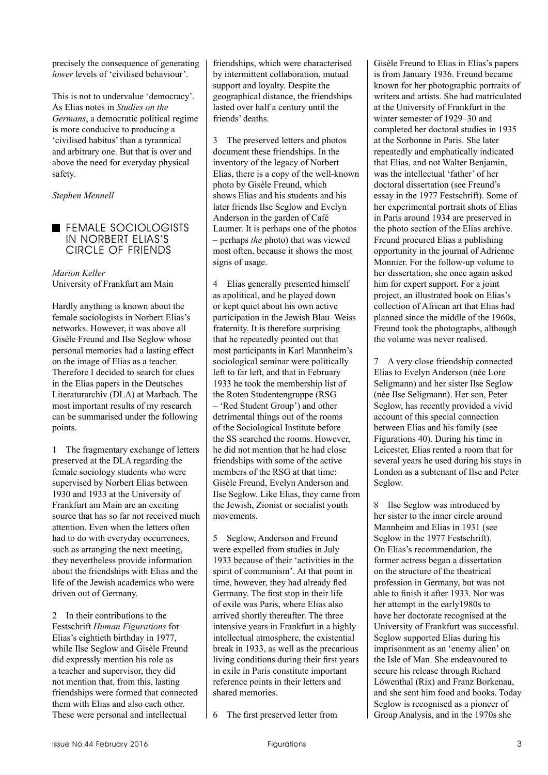precisely the consequence of generating *lower* levels of 'civilised behaviour'.

This is not to undervalue 'democracy'. As Elias notes in *Studies on the Germans*, a democratic political regime is more conducive to producing a 'civilised habitus' than a tyrannical and arbitrary one. But that is over and above the need for everyday physical safety.

*Stephen Mennell*

# **FEMALE SOCIOLOGISTS** IN NORBERT ELIAS'S CIRCLE OF FRIENDS

*Marion Keller* University of Frankfurt am Main

Hardly anything is known about the female sociologists in Norbert Elias's networks. However, it was above all Gisèle Freund and Ilse Seglow whose personal memories had a lasting effect on the image of Elias as a teacher. Therefore I decided to search for clues in the Elias papers in the Deutsches Literaturarchiv (DLA) at Marbach. The most important results of my research can be summarised under the following points.

1 The fragmentary exchange of letters preserved at the DLA regarding the female sociology students who were supervised by Norbert Elias between 1930 and 1933 at the University of Frankfurt am Main are an exciting source that has so far not received much attention. Even when the letters often had to do with everyday occurrences, such as arranging the next meeting, they nevertheless provide information about the friendships with Elias and the life of the Jewish academics who were driven out of Germany.

2 In their contributions to the Festschrift *Human Figurations* for Elias's eightieth birthday in 1977, while Ilse Seglow and Gisèle Freund did expressly mention his role as a teacher and supervisor, they did not mention that, from this, lasting friendships were formed that connected them with Elias and also each other. These were personal and intellectual

friendships, which were characterised by intermittent collaboration, mutual support and loyalty. Despite the geographical distance, the friendships lasted over half a century until the friends' deaths.

3 The preserved letters and photos document these friendships. In the inventory of the legacy of Norbert Elias, there is a copy of the well-known photo by Gisèle Freund, which shows Elias and his students and his later friends Ilse Seglow and Evelyn Anderson in the garden of Café Laumer. It is perhaps one of the photos – perhaps *the* photo) that was viewed most often, because it shows the most signs of usage.

4 Elias generally presented himself as apolitical, and he played down or kept quiet about his own active participation in the Jewish Blau–Weiss fraternity. It is therefore surprising that he repeatedly pointed out that most participants in Karl Mannheim's sociological seminar were politically left to far left, and that in February 1933 he took the membership list of the Roten Studentengruppe (RSG – 'Red Student Group') and other detrimental things out of the rooms of the Sociological Institute before the SS searched the rooms. However, he did not mention that he had close friendships with some of the active members of the RSG at that time: Gisèle Freund, Evelyn Anderson and Ilse Seglow. Like Elias, they came from the Jewish, Zionist or socialist youth movements.

5 Seglow, Anderson and Freund were expelled from studies in July 1933 because of their 'activities in the spirit of communism'. At that point in time, however, they had already fled Germany. The first stop in their life of exile was Paris, where Elias also arrived shortly thereafter. The three intensive years in Frankfurt in a highly intellectual atmosphere, the existential break in 1933, as well as the precarious living conditions during their first years in exile in Paris constitute important reference points in their letters and shared memories.

6 The first preserved letter from

Gisèle Freund to Elias in Elias's papers is from January 1936. Freund became known for her photographic portraits of writers and artists. She had matriculated at the University of Frankfurt in the winter semester of 1929–30 and completed her doctoral studies in 1935 at the Sorbonne in Paris. She later repeatedly and emphatically indicated that Elias, and not Walter Benjamin, was the intellectual 'father' of her doctoral dissertation (see Freund's essay in the 1977 Festschrift). Some of her experimental portrait shots of Elias in Paris around 1934 are preserved in the photo section of the Elias archive. Freund procured Elias a publishing opportunity in the journal of Adrienne Monnier. For the follow-up volume to her dissertation, she once again asked him for expert support. For a joint project, an illustrated book on Elias's collection of African art that Elias had planned since the middle of the 1960s, Freund took the photographs, although the volume was never realised.

7 A very close friendship connected Elias to Evelyn Anderson (née Lore Seligmann) and her sister Ilse Seglow (née Ilse Seligmann). Her son, Peter Seglow, has recently provided a vivid account of this special connection between Elias and his family (see Figurations 40). During his time in Leicester, Elias rented a room that for several years he used during his stays in London as a subtenant of Ilse and Peter Seglow.

8 Ilse Seglow was introduced by her sister to the inner circle around Mannheim and Elias in 1931 (see Seglow in the 1977 Festschrift). On Elias's recommendation, the former actress began a dissertation on the structure of the theatrical profession in Germany, but was not able to finish it after 1933. Nor was her attempt in the early1980s to have her doctorate recognised at the University of Frankfurt was successful. Seglow supported Elias during his imprisonment as an 'enemy alien' on the Isle of Man. She endeavoured to secure his release through Richard Löwenthal (Rix) and Franz Borkenau, and she sent him food and books. Today Seglow is recognised as a pioneer of Group Analysis, and in the 1970s she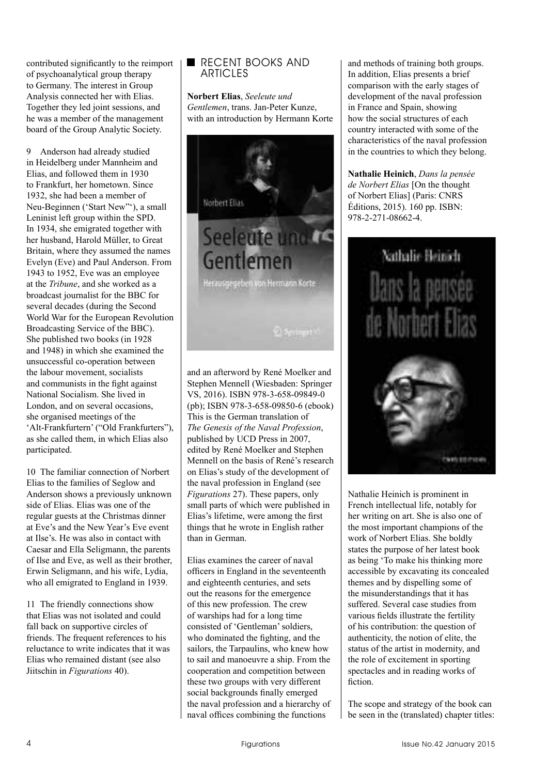contributed significantly to the reimport of psychoanalytical group therapy to Germany. The interest in Group Analysis connected her with Elias. Together they led joint sessions, and he was a member of the management board of the Group Analytic Society.

9 Anderson had already studied in Heidelberg under Mannheim and Elias, and followed them in 1930 to Frankfurt, her hometown. Since 1932, she had been a member of Neu-Beginnen ('Start New"'), a small Leninist left group within the SPD. In 1934, she emigrated together with her husband, Harold Müller, to Great Britain, where they assumed the names Evelyn (Eve) and Paul Anderson. From 1943 to 1952, Eve was an employee at the *Tribune*, and she worked as a broadcast journalist for the BBC for several decades (during the Second World War for the European Revolution Broadcasting Service of the BBC). She published two books (in 1928 and 1948) in which she examined the unsuccessful co-operation between the labour movement, socialists and communists in the fight against National Socialism. She lived in London, and on several occasions, she organised meetings of the 'Alt-Frankfurtern' ("Old Frankfurters"), as she called them, in which Elias also participated.

10 The familiar connection of Norbert Elias to the families of Seglow and Anderson shows a previously unknown side of Elias. Elias was one of the regular guests at the Christmas dinner at Eve's and the New Year's Eve event at Ilse's. He was also in contact with Caesar and Ella Seligmann, the parents of Ilse and Eve, as well as their brother, Erwin Seligmann, and his wife, Lydia, who all emigrated to England in 1939.

11 The friendly connections show that Elias was not isolated and could fall back on supportive circles of friends. The frequent references to his reluctance to write indicates that it was Elias who remained distant (see also Jiitschin in *Figurations* 40).

# RECENT BOOKS AND ARTICLES

**Norbert Elias**, *Seeleute und Gentlemen*, trans. Jan-Peter Kunze, with an introduction by Hermann Korte



and an afterword by René Moelker and Stephen Mennell (Wiesbaden: Springer VS, 2016). ISBN 978-3-658-09849-0 (pb); ISBN 978-3-658-09850-6 (ebook) This is the German translation of *The Genesis of the Naval Profession*, published by UCD Press in 2007, edited by René Moelker and Stephen Mennell on the basis of René's research on Elias's study of the development of the naval profession in England (see *Figurations* 27). These papers, only small parts of which were published in Elias's lifetime, were among the first things that he wrote in English rather than in German.

Elias examines the career of naval officers in England in the seventeenth and eighteenth centuries, and sets out the reasons for the emergence of this new profession. The crew of warships had for a long time consisted of 'Gentleman' soldiers, who dominated the fighting, and the sailors, the Tarpaulins, who knew how to sail and manoeuvre a ship. From the cooperation and competition between these two groups with very different social backgrounds finally emerged the naval profession and a hierarchy of naval offices combining the functions

and methods of training both groups. In addition, Elias presents a brief comparison with the early stages of development of the naval profession in France and Spain, showing how the social structures of each country interacted with some of the characteristics of the naval profession in the countries to which they belong.

**Nathalie Heinich**, *Dans la pensée de Norbert Elias* [On the thought of Norbert Elias] (Paris: CNRS Éditions, 2015). 160 pp. ISBN: 978-2-271-08662-4.



Nathalie Heinich is prominent in French intellectual life, notably for her writing on art. She is also one of the most important champions of the work of Norbert Elias. She boldly states the purpose of her latest book as being 'To make his thinking more accessible by excavating its concealed themes and by dispelling some of the misunderstandings that it has suffered. Several case studies from various fields illustrate the fertility of his contribution: the question of authenticity, the notion of elite, the status of the artist in modernity, and the role of excitement in sporting spectacles and in reading works of fiction.

The scope and strategy of the book can be seen in the (translated) chapter titles: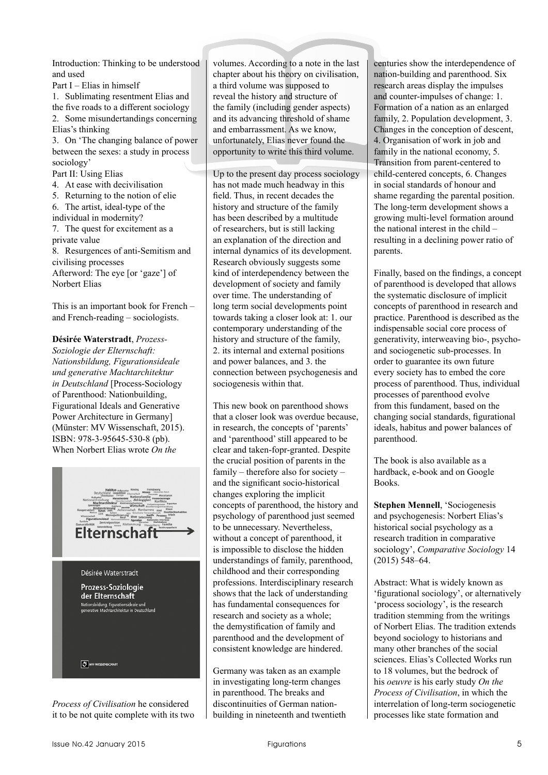Introduction: Thinking to be understood and used

Part I – Elias in himself

1. Sublimating resentment Elias and the five roads to a different sociology

2. Some misundertandings concerning Elias's thinking

3. On 'The changing balance of power between the sexes: a study in process sociology'

Part II: Using Elias

4. At ease with decivilisation

5. Returning to the notion of elie 6. The artist, ideal-type of the

individual in modernity?

7. The quest for excitement as a private value

8. Resurgences of anti-Semitism and civilising processes Afterword: The eye [or 'gaze'] of Norbert Elias

This is an important book for French – and French-reading – sociologists.

**Désirée Waterstradt**, *Prozess-Soziologie der Elternschaft: Nationsbildung, Figurationsideale und generative Machtarchitektur in Deutschland* [Process-Sociology of Parenthood: Nationbuilding, Figurational Ideals and Generative Power Architecture in Germany] (Münster: MV Wissenschaft, 2015). ISBN: 978-3-95645-530-8 (pb). When Norbert Elias wrote *On the* 



*Process of Civilisation* he considered it to be not quite complete with its two

volumes. According to a note in the last chapter about his theory on civilisation, a third volume was supposed to reveal the history and structure of the family (including gender aspects) and its advancing threshold of shame and embarrassment. As we know, unfortunately, Elias never found the opportunity to write this third volume.

Up to the present day process sociology has not made much headway in this field. Thus, in recent decades the history and structure of the family has been described by a multitude of researchers, but is still lacking an explanation of the direction and internal dynamics of its development. Research obviously suggests some kind of interdependency between the development of society and family over time. The understanding of long term social developments point towards taking a closer look at: 1. our contemporary understanding of the history and structure of the family, 2. its internal and external positions and power balances, and 3. the connection between psychogenesis and sociogenesis within that.

This new book on parenthood shows that a closer look was overdue because, in research, the concepts of 'parents' and 'parenthood' still appeared to be clear and taken-fopr-granted. Despite the crucial position of parents in the family – therefore also for society – and the significant socio-historical changes exploring the implicit concepts of parenthood, the history and psychology of parenthood just seemed to be unnecessary. Nevertheless, without a concept of parenthood, it is impossible to disclose the hidden understandings of family, parenthood, childhood and their corresponding professions. Interdisciplinary research shows that the lack of understanding has fundamental consequences for research and society as a whole; the demystification of family and parenthood and the development of consistent knowledge are hindered.

Germany was taken as an example in investigating long-term changes in parenthood. The breaks and discontinuities of German nationbuilding in nineteenth and twentieth

centuries show the interdependence of nation-building and parenthood. Six research areas display the impulses and counter-impulses of change: 1. Formation of a nation as an enlarged family, 2. Population development, 3. Changes in the conception of descent, 4. Organisation of work in job and family in the national economy, 5. Transition from parent-centered to child-centered concepts, 6. Changes in social standards of honour and shame regarding the parental position. The long-term development shows a growing multi-level formation around the national interest in the child – resulting in a declining power ratio of parents.

Finally, based on the findings, a concept of parenthood is developed that allows the systematic disclosure of implicit concepts of parenthood in research and practice. Parenthood is described as the indispensable social core process of generativity, interweaving bio-, psychoand sociogenetic sub-processes. In order to guarantee its own future every society has to embed the core process of parenthood. Thus, individual processes of parenthood evolve from this fundament, based on the changing social standards, figurational ideals, habitus and power balances of parenthood.

The book is also available as a hardback, e-book and on Google Books.

**Stephen Mennell**, 'Sociogenesis and psychogenesis: Norbert Elias's historical social psychology as a research tradition in comparative sociology', *Comparative Sociology* 14 (2015) 548–64.

Abstract: What is widely known as 'figurational sociology', or alternatively 'process sociology', is the research tradition stemming from the writings of Norbert Elias. The tradition extends beyond sociology to historians and many other branches of the social sciences. Elias's Collected Works run to 18 volumes, but the bedrock of his *oeuvre* is his early study *On the Process of Civilisation*, in which the interrelation of long-term sociogenetic processes like state formation and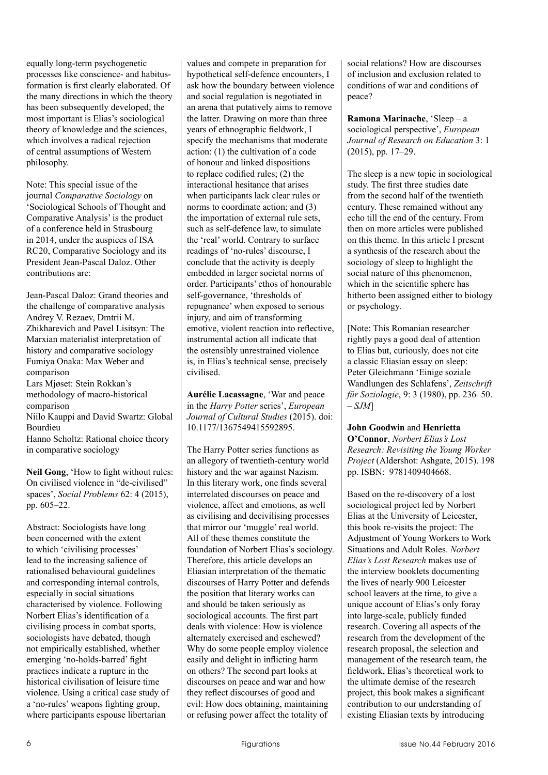equally long-term psychogenetic processes like conscience- and habitusformation is first clearly elaborated. Of the many directions in which the theory has been subsequently developed, the most important is Elias's sociological theory of knowledge and the sciences, which involves a radical rejection of central assumptions of Western philosophy.

Note: This special issue of the journal *Comparative Sociology* on 'Sociological Schools of Thought and Comparative Analysis' is the product of a conference held in Strasbourg in 2014, under the auspices of ISA RC20, Comparative Sociology and its President Jean-Pascal Daloz. Other contributions are:

Jean-Pascal Daloz: Grand theories and the challenge of comparative analysis Andrey V. Rezaev, Dmtrii M. Zhikharevich and Pavel Lisitsyn: The Marxian materialist interpretation of history and comparative sociology Fumiya Onaka: Max Weber and comparison Lars Mjøset: Stein Rokkan's methodology of macro-historical comparison Niilo Kauppi and David Swartz: Global Bourdieu Hanno Scholtz: Rational choice theory in comparative sociology

**Neil Gong**, 'How to fight without rules: On civilised violence in "de-civilised" spaces', *Social Problems* 62: 4 (2015), pp. 605–22.

Abstract: Sociologists have long been concerned with the extent to which 'civilising processes' lead to the increasing salience of rationalised behavioural guidelines and corresponding internal controls, especially in social situations characterised by violence. Following Norbert Elias's identification of a civilising process in combat sports, sociologists have debated, though not empirically established, whether emerging 'no-holds-barred' fight practices indicate a rupture in the historical civilisation of leisure time violence. Using a critical case study of a 'no-rules' weapons fighting group, where participants espouse libertarian

values and compete in preparation for hypothetical self-defence encounters, I ask how the boundary between violence and social regulation is negotiated in an arena that putatively aims to remove the latter. Drawing on more than three years of ethnographic fieldwork, I specify the mechanisms that moderate action: (1) the cultivation of a code of honour and linked dispositions to replace codified rules; (2) the interactional hesitance that arises when participants lack clear rules or norms to coordinate action; and (3) the importation of external rule sets, such as self-defence law, to simulate the 'real' world. Contrary to surface readings of 'no-rules' discourse, I conclude that the activity is deeply embedded in larger societal norms of order. Participants' ethos of honourable self-governance, 'thresholds of repugnance' when exposed to serious injury, and aim of transforming emotive, violent reaction into reflective, instrumental action all indicate that the ostensibly unrestrained violence is, in Elias's technical sense, precisely civilised.

**Aurélie Lacassagne**, 'War and peace in the *Harry Potter* series', *European Journal of Cultural Studies* (2015). doi: 10.1177/1367549415592895.

The Harry Potter series functions as an allegory of twentieth-century world history and the war against Nazism. In this literary work, one finds several interrelated discourses on peace and violence, affect and emotions, as well as civilising and decivilising processes that mirror our 'muggle' real world. All of these themes constitute the foundation of Norbert Elias's sociology. Therefore, this article develops an Eliasian interpretation of the thematic discourses of Harry Potter and defends the position that literary works can and should be taken seriously as sociological accounts. The first part deals with violence: How is violence alternately exercised and eschewed? Why do some people employ violence easily and delight in inflicting harm on others? The second part looks at discourses on peace and war and how they reflect discourses of good and evil: How does obtaining, maintaining or refusing power affect the totality of

social relations? How are discourses of inclusion and exclusion related to conditions of war and conditions of peace?

**Ramona Marinache**, 'Sleep – a sociological perspective', *European Journal of Research on Education* 3: 1 (2015), pp. 17–29.

The sleep is a new topic in sociological study. The first three studies date from the second half of the twentieth century. These remained without any echo till the end of the century. From then on more articles were published on this theme. In this article I present a synthesis of the research about the sociology of sleep to highlight the social nature of this phenomenon, which in the scientific sphere has hitherto been assigned either to biology or psychology.

[Note: This Romanian researcher rightly pays a good deal of attention to Elias but, curiously, does not cite a classic Eliasian essay on sleep: Peter Gleichmann 'Einige soziale Wandlungen des Schlafens', *Zeitschrift für Soziologie*, 9: 3 (1980), pp. 236–50.  $-SJM$ 

**John Goodwin** and **Henrietta O'Connor**, *Norbert Elias's Lost Research: Revisiting the Young Worker Project* (Aldershot: Ashgate, 2015). 198 pp. ISBN: 9781409404668.

Based on the re-discovery of a lost sociological project led by Norbert Elias at the University of Leicester, this book re-visits the project: The Adjustment of Young Workers to Work Situations and Adult Roles. *Norbert Elias's Lost Research* makes use of the interview booklets documenting the lives of nearly 900 Leicester school leavers at the time, to give a unique account of Elias's only foray into large-scale, publicly funded research. Covering all aspects of the research from the development of the research proposal, the selection and management of the research team, the fieldwork, Elias's theoretical work to the ultimate demise of the research project, this book makes a significant contribution to our understanding of existing Eliasian texts by introducing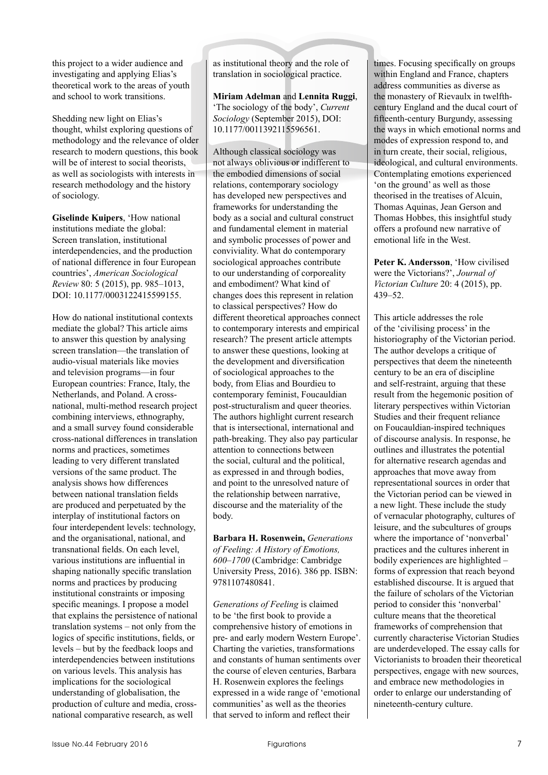this project to a wider audience and investigating and applying Elias's theoretical work to the areas of youth and school to work transitions.

Shedding new light on Elias's thought, whilst exploring questions of methodology and the relevance of older research to modern questions, this book will be of interest to social theorists, as well as sociologists with interests in research methodology and the history of sociology.

**Giselinde Kuipers**, 'How national institutions mediate the global: Screen translation, institutional interdependencies, and the production of national difference in four European countries', *American Sociological Review* 80: 5 (2015), pp. 985–1013, DOI: 10.1177/0003122415599155.

How do national institutional contexts mediate the global? This article aims to answer this question by analysing screen translation—the translation of audio-visual materials like movies and television programs—in four European countries: France, Italy, the Netherlands, and Poland. A crossnational, multi-method research project combining interviews, ethnography, and a small survey found considerable cross-national differences in translation norms and practices, sometimes leading to very different translated versions of the same product. The analysis shows how differences between national translation fields are produced and perpetuated by the interplay of institutional factors on four interdependent levels: technology, and the organisational, national, and transnational fields. On each level, various institutions are influential in shaping nationally specific translation norms and practices by producing institutional constraints or imposing specific meanings. I propose a model that explains the persistence of national translation systems – not only from the logics of specific institutions, fields, or levels – but by the feedback loops and interdependencies between institutions on various levels. This analysis has implications for the sociological understanding of globalisation, the production of culture and media, crossnational comparative research, as well

as institutional theory and the role of translation in sociological practice.

**Miriam Adelman** and **Lennita Ruggi**, 'The sociology of the body', *Current Sociology* (September 2015), DOI: 10.1177/0011392115596561.

Although classical sociology was not always oblivious or indifferent to the embodied dimensions of social relations, contemporary sociology has developed new perspectives and frameworks for understanding the body as a social and cultural construct and fundamental element in material and symbolic processes of power and conviviality. What do contemporary sociological approaches contribute to our understanding of corporeality and embodiment? What kind of changes does this represent in relation to classical perspectives? How do different theoretical approaches connect to contemporary interests and empirical research? The present article attempts to answer these questions, looking at the development and diversification of sociological approaches to the body, from Elias and Bourdieu to contemporary feminist, Foucauldian post-structuralism and queer theories. The authors highlight current research that is intersectional, international and path-breaking. They also pay particular attention to connections between the social, cultural and the political, as expressed in and through bodies, and point to the unresolved nature of the relationship between narrative, discourse and the materiality of the body.

**Barbara H. Rosenwein,** *Generations of Feeling: A History of Emotions, 600–1700* (Cambridge: Cambridge University Press, 2016). 386 pp. ISBN: 9781107480841.

*Generations of Feeling* is claimed to be 'the first book to provide a comprehensive history of emotions in pre- and early modern Western Europe'. Charting the varieties, transformations and constants of human sentiments over the course of eleven centuries, Barbara H. Rosenwein explores the feelings expressed in a wide range of 'emotional communities' as well as the theories that served to inform and reflect their

times. Focusing specifically on groups within England and France, chapters address communities as diverse as the monastery of Rievaulx in twelfthcentury England and the ducal court of fifteenth-century Burgundy, assessing the ways in which emotional norms and modes of expression respond to, and in turn create, their social, religious, ideological, and cultural environments. Contemplating emotions experienced 'on the ground' as well as those theorised in the treatises of Alcuin, Thomas Aquinas, Jean Gerson and Thomas Hobbes, this insightful study offers a profound new narrative of emotional life in the West.

**Peter K. Andersson**, 'How civilised were the Victorians?', *Journal of Victorian Culture* 20: 4 (2015), pp. 439–52.

This article addresses the role of the 'civilising process' in the historiography of the Victorian period. The author develops a critique of perspectives that deem the nineteenth century to be an era of discipline and self-restraint, arguing that these result from the hegemonic position of literary perspectives within Victorian Studies and their frequent reliance on Foucauldian-inspired techniques of discourse analysis. In response, he outlines and illustrates the potential for alternative research agendas and approaches that move away from representational sources in order that the Victorian period can be viewed in a new light. These include the study of vernacular photography, cultures of leisure, and the subcultures of groups where the importance of 'nonverbal' practices and the cultures inherent in bodily experiences are highlighted – forms of expression that reach beyond established discourse. It is argued that the failure of scholars of the Victorian period to consider this 'nonverbal' culture means that the theoretical frameworks of comprehension that currently characterise Victorian Studies are underdeveloped. The essay calls for Victorianists to broaden their theoretical perspectives, engage with new sources, and embrace new methodologies in order to enlarge our understanding of nineteenth-century culture.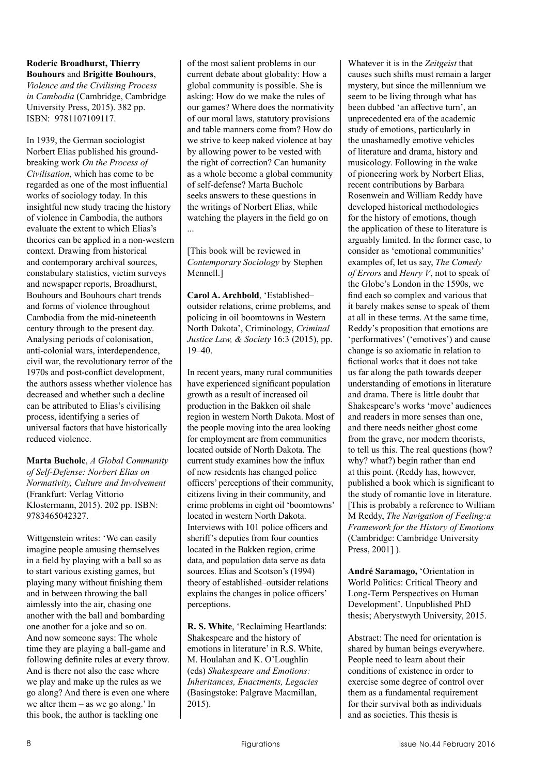#### **Roderic Broadhurst, Thierry Bouhours** and **Brigitte Bouhours**,

*Violence and the Civilising Process in Cambodia* (Cambridge, Cambridge University Press, 2015). 382 pp. ISBN: 9781107109117.

In 1939, the German sociologist Norbert Elias published his groundbreaking work *On the Process of Civilisation*, which has come to be regarded as one of the most influential works of sociology today. In this insightful new study tracing the history of violence in Cambodia, the authors evaluate the extent to which Elias's theories can be applied in a non-western context. Drawing from historical and contemporary archival sources, constabulary statistics, victim surveys and newspaper reports, Broadhurst, Bouhours and Bouhours chart trends and forms of violence throughout Cambodia from the mid-nineteenth century through to the present day. Analysing periods of colonisation, anti-colonial wars, interdependence, civil war, the revolutionary terror of the 1970s and post-conflict development, the authors assess whether violence has decreased and whether such a decline can be attributed to Elias's civilising process, identifying a series of universal factors that have historically reduced violence.

**Marta Bucholc**, *A Global Community of Self-Defense: Norbert Elias on Normativity, Culture and Involvement* (Frankfurt: Verlag Vittorio Klostermann, 2015). 202 pp. ISBN: 9783465042327.

Wittgenstein writes: 'We can easily imagine people amusing themselves in a field by playing with a ball so as to start various existing games, but playing many without finishing them and in between throwing the ball aimlessly into the air, chasing one another with the ball and bombarding one another for a joke and so on. And now someone says: The whole time they are playing a ball-game and following definite rules at every throw. And is there not also the case where we play and make up the rules as we go along? And there is even one where we alter them – as we go along.' In this book, the author is tackling one

of the most salient problems in our current debate about globality: How a global community is possible. She is asking: How do we make the rules of our games? Where does the normativity of our moral laws, statutory provisions and table manners come from? How do we strive to keep naked violence at bay by allowing power to be vested with the right of correction? Can humanity as a whole become a global community of self-defense? Marta Bucholc seeks answers to these questions in the writings of Norbert Elias, while watching the players in the field go on ...

[This book will be reviewed in *Contemporary Sociology* by Stephen Mennell.]

**Carol A. Archbold**, 'Established– outsider relations, crime problems, and policing in oil boomtowns in Western North Dakota', Criminology, *Criminal Justice Law, & Society* 16:3 (2015), pp. 19–40.

In recent years, many rural communities have experienced significant population growth as a result of increased oil production in the Bakken oil shale region in western North Dakota. Most of the people moving into the area looking for employment are from communities located outside of North Dakota. The current study examines how the influx of new residents has changed police officers' perceptions of their community, citizens living in their community, and crime problems in eight oil 'boomtowns' located in western North Dakota. Interviews with 101 police officers and sheriff's deputies from four counties located in the Bakken region, crime data, and population data serve as data sources. Elias and Scotson's (1994) theory of established–outsider relations explains the changes in police officers' perceptions.

**R. S. White**, 'Reclaiming Heartlands: Shakespeare and the history of emotions in literature' in R.S. White, M. Houlahan and K. O'Loughlin (eds) *Shakespeare and Emotions: Inheritances, Enactments, Legacies* (Basingstoke: Palgrave Macmillan, 2015).

Whatever it is in the *Zeitgeist* that causes such shifts must remain a larger mystery, but since the millennium we seem to be living through what has been dubbed 'an affective turn', an unprecedented era of the academic study of emotions, particularly in the unashamedly emotive vehicles of literature and drama, history and musicology. Following in the wake of pioneering work by Norbert Elias, recent contributions by Barbara Rosenwein and William Reddy have developed historical methodologies for the history of emotions, though the application of these to literature is arguably limited. In the former case, to consider as 'emotional communities' examples of, let us say, *The Comedy of Errors* and *Henry V*, not to speak of the Globe's London in the 1590s, we find each so complex and various that it barely makes sense to speak of them at all in these terms. At the same time, Reddy's proposition that emotions are 'performatives' ('emotives') and cause change is so axiomatic in relation to fictional works that it does not take us far along the path towards deeper understanding of emotions in literature and drama. There is little doubt that Shakespeare's works 'move' audiences and readers in more senses than one, and there needs neither ghost come from the grave, nor modern theorists, to tell us this. The real questions (how? why? what?) begin rather than end at this point. (Reddy has, however, published a book which is significant to the study of romantic love in literature. [This is probably a reference to William M Reddy, *The Navigation of Feeling:a Framework for the History of Emotions* (Cambridge: Cambridge University Press, 2001]).

**André Saramago,** 'Orientation in World Politics: Critical Theory and Long-Term Perspectives on Human Development'. Unpublished PhD thesis; Aberystwyth University, 2015.

Abstract: The need for orientation is shared by human beings everywhere. People need to learn about their conditions of existence in order to exercise some degree of control over them as a fundamental requirement for their survival both as individuals and as societies. This thesis is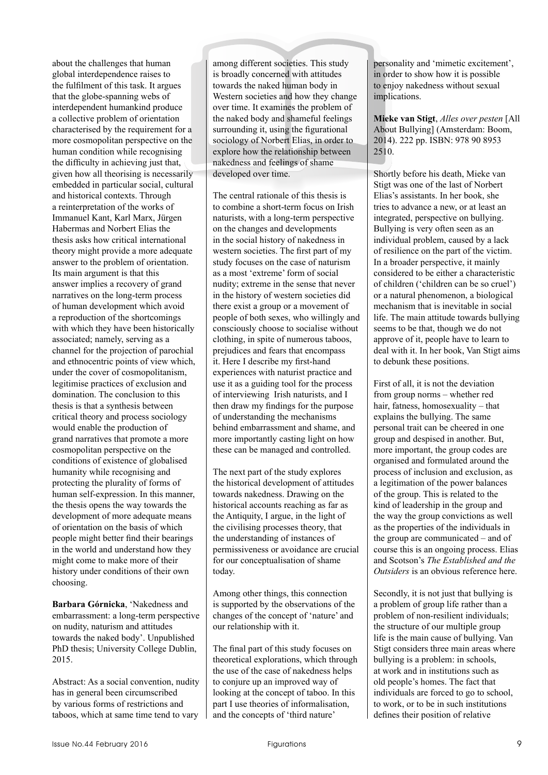about the challenges that human global interdependence raises to the fulfilment of this task. It argues that the globe-spanning webs of interdependent humankind produce a collective problem of orientation characterised by the requirement for a more cosmopolitan perspective on the human condition while recognising the difficulty in achieving just that, given how all theorising is necessarily embedded in particular social, cultural and historical contexts. Through a reinterpretation of the works of Immanuel Kant, Karl Marx, Jürgen Habermas and Norbert Elias the thesis asks how critical international theory might provide a more adequate answer to the problem of orientation. Its main argument is that this answer implies a recovery of grand narratives on the long-term process of human development which avoid a reproduction of the shortcomings with which they have been historically associated; namely, serving as a channel for the projection of parochial and ethnocentric points of view which, under the cover of cosmopolitanism, legitimise practices of exclusion and domination. The conclusion to this thesis is that a synthesis between critical theory and process sociology would enable the production of grand narratives that promote a more cosmopolitan perspective on the conditions of existence of globalised humanity while recognising and protecting the plurality of forms of human self-expression. In this manner, the thesis opens the way towards the development of more adequate means of orientation on the basis of which people might better find their bearings in the world and understand how they might come to make more of their history under conditions of their own choosing.

**Barbara Górnicka**, 'Nakedness and embarrassment: a long-term perspective on nudity, naturism and attitudes towards the naked body'. Unpublished PhD thesis; University College Dublin, 2015.

Abstract: As a social convention, nudity has in general been circumscribed by various forms of restrictions and taboos, which at same time tend to vary

among different societies. This study is broadly concerned with attitudes towards the naked human body in Western societies and how they change over time. It examines the problem of the naked body and shameful feelings surrounding it, using the figurational sociology of Norbert Elias, in order to explore how the relationship between nakedness and feelings of shame developed over time.

The central rationale of this thesis is to combine a short-term focus on Irish naturists, with a long-term perspective on the changes and developments in the social history of nakedness in western societies. The first part of my study focuses on the case of naturism as a most 'extreme' form of social nudity; extreme in the sense that never in the history of western societies did there exist a group or a movement of people of both sexes, who willingly and consciously choose to socialise without clothing, in spite of numerous taboos, prejudices and fears that encompass it. Here I describe my first-hand experiences with naturist practice and use it as a guiding tool for the process of interviewing Irish naturists, and I then draw my findings for the purpose of understanding the mechanisms behind embarrassment and shame, and more importantly casting light on how these can be managed and controlled.

The next part of the study explores the historical development of attitudes towards nakedness. Drawing on the historical accounts reaching as far as the Antiquity, I argue, in the light of the civilising processes theory, that the understanding of instances of permissiveness or avoidance are crucial for our conceptualisation of shame today.

Among other things, this connection is supported by the observations of the changes of the concept of 'nature' and our relationship with it.

The final part of this study focuses on theoretical explorations, which through the use of the case of nakedness helps to conjure up an improved way of looking at the concept of taboo. In this part I use theories of informalisation, and the concepts of 'third nature'

personality and 'mimetic excitement', in order to show how it is possible to enjoy nakedness without sexual implications.

**Mieke van Stigt**, *Alles over pesten* [All About Bullying] (Amsterdam: Boom, 2014). 222 pp. ISBN: 978 90 8953 2510.

Shortly before his death, Mieke van Stigt was one of the last of Norbert Elias's assistants. In her book, she tries to advance a new, or at least an integrated, perspective on bullying. Bullying is very often seen as an individual problem, caused by a lack of resilience on the part of the victim. In a broader perspective, it mainly considered to be either a characteristic of children ('children can be so cruel') or a natural phenomenon, a biological mechanism that is inevitable in social life. The main attitude towards bullying seems to be that, though we do not approve of it, people have to learn to deal with it. In her book, Van Stigt aims to debunk these positions.

First of all, it is not the deviation from group norms – whether red hair, fatness, homosexuality – that explains the bullying. The same personal trait can be cheered in one group and despised in another. But, more important, the group codes are organised and formulated around the process of inclusion and exclusion, as a legitimation of the power balances of the group. This is related to the kind of leadership in the group and the way the group convictions as well as the properties of the individuals in the group are communicated – and of course this is an ongoing process. Elias and Scotson's *The Established and the Outsiders* is an obvious reference here.

Secondly, it is not just that bullying is a problem of group life rather than a problem of non-resilient individuals; the structure of our multiple group life is the main cause of bullying. Van Stigt considers three main areas where bullying is a problem: in schools, at work and in institutions such as old people's homes. The fact that individuals are forced to go to school, to work, or to be in such institutions defines their position of relative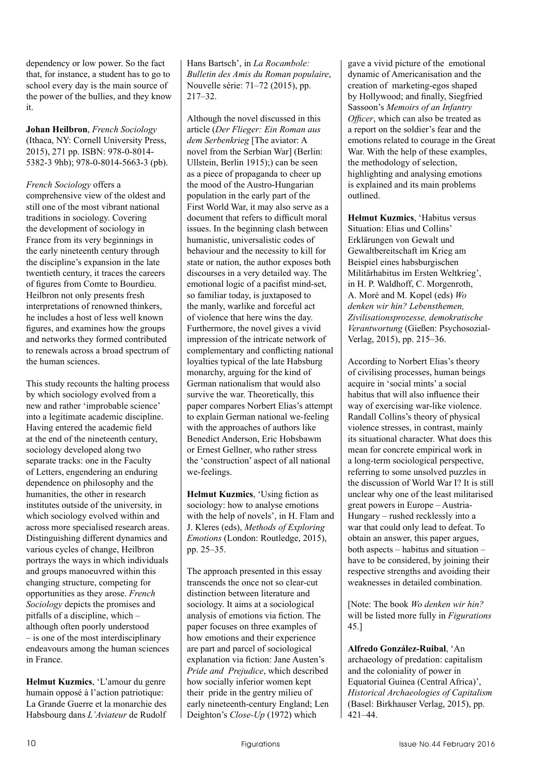dependency or low power. So the fact that, for instance, a student has to go to school every day is the main source of the power of the bullies, and they know it.

**Johan Heilbron**, *French Sociology* (Ithaca, NY: Cornell University Press, 2015), 271 pp. ISBN: 978-0-8014- 5382-3 9hb); 978-0-8014-5663-3 (pb).

*French Sociology* offers a comprehensive view of the oldest and still one of the most vibrant national traditions in sociology. Covering the development of sociology in France from its very beginnings in the early nineteenth century through the discipline's expansion in the late twentieth century, it traces the careers of figures from Comte to Bourdieu. Heilbron not only presents fresh interpretations of renowned thinkers, he includes a host of less well known figures, and examines how the groups and networks they formed contributed to renewals across a broad spectrum of the human sciences.

This study recounts the halting process by which sociology evolved from a new and rather 'improbable science' into a legitimate academic discipline. Having entered the academic field at the end of the nineteenth century, sociology developed along two separate tracks: one in the Faculty of Letters, engendering an enduring dependence on philosophy and the humanities, the other in research institutes outside of the university, in which sociology evolved within and across more specialised research areas. Distinguishing different dynamics and various cycles of change, Heilbron portrays the ways in which individuals and groups manoeuvred within this changing structure, competing for opportunities as they arose. *French Sociology* depicts the promises and pitfalls of a discipline, which – although often poorly understood – is one of the most interdisciplinary endeavours among the human sciences in France.

**Helmut Kuzmics**, 'L'amour du genre humain opposé à l'action patriotique: La Grande Guerre et la monarchie des Habsbourg dans *L'Aviateur* de Rudolf

Hans Bartsch', in *La Rocambole: Bulletin des Amis du Roman populaire*, Nouvelle série: 71–72 (2015), pp. 217–32.

Although the novel discussed in this article (*Der Flieger: Ein Roman aus dem Serbenkrieg* [The aviator: A novel from the Serbian War] (Berlin: Ullstein, Berlin 1915);) can be seen as a piece of propaganda to cheer up the mood of the Austro-Hungarian population in the early part of the First World War, it may also serve as a document that refers to difficult moral issues. In the beginning clash between humanistic, universalistic codes of behaviour and the necessity to kill for state or nation, the author exposes both discourses in a very detailed way. The emotional logic of a pacifist mind-set, so familiar today, is juxtaposed to the manly, warlike and forceful act of violence that here wins the day. Furthermore, the novel gives a vivid impression of the intricate network of complementary and conflicting national loyalties typical of the late Habsburg monarchy, arguing for the kind of German nationalism that would also survive the war. Theoretically, this paper compares Norbert Elias's attempt to explain German national we-feeling with the approaches of authors like Benedict Anderson, Eric Hobsbawm or Ernest Gellner, who rather stress the 'construction' aspect of all national we-feelings.

**Helmut Kuzmics**, 'Using fiction as sociology: how to analyse emotions with the help of novels<sup>'</sup>, in H. Flam and J. Kleres (eds), *Methods of Exploring Emotions* (London: Routledge, 2015), pp. 25–35.

The approach presented in this essay transcends the once not so clear-cut distinction between literature and sociology. It aims at a sociological analysis of emotions via fiction. The paper focuses on three examples of how emotions and their experience are part and parcel of sociological explanation via fiction: Jane Austen's *Pride and Prejudice*, which described how socially inferior women kept their pride in the gentry milieu of early nineteenth-century England; Len Deighton's *Close-Up* (1972) which

gave a vivid picture of the emotional dynamic of Americanisation and the creation of marketing-egos shaped by Hollywood; and finally, Siegfried Sassoon's *Memoirs of an Infantry Officer*, which can also be treated as a report on the soldier's fear and the emotions related to courage in the Great War. With the help of these examples, the methodology of selection, highlighting and analysing emotions is explained and its main problems outlined.

**Helmut Kuzmics**, 'Habitus versus Situation: Elias und Collins' Erklärungen von Gewalt und Gewaltbereitschaft im Krieg am Beispiel eines habsburgischen Militärhabitus im Ersten Weltkrieg', in H. P. Waldhoff, C. Morgenroth, A. Moré and M. Kopel (eds) *Wo denken wir hin? Lebensthemen, Zivilisationsprozesse, demokratische Verantwortung* (Gießen: Psychosozial-Verlag, 2015), pp. 215–36.

According to Norbert Elias's theory of civilising processes, human beings acquire in 'social mints' a social habitus that will also influence their way of exercising war-like violence. Randall Collins's theory of physical violence stresses, in contrast, mainly its situational character. What does this mean for concrete empirical work in a long-term sociological perspective, referring to some unsolved puzzles in the discussion of World War I? It is still unclear why one of the least militarised great powers in Europe – Austria-Hungary – rushed recklessly into a war that could only lead to defeat. To obtain an answer, this paper argues, both aspects – habitus and situation – have to be considered, by joining their respective strengths and avoiding their weaknesses in detailed combination.

[Note: The book *Wo denken wir hin?* will be listed more fully in *Figurations*  45.]

**Alfredo González-Ruibal**, 'An archaeology of predation: capitalism and the coloniality of power in Equatorial Guinea (Central Africa)', *Historical Archaeologies of Capitalism* (Basel: Birkhauser Verlag, 2015), pp. 421–44.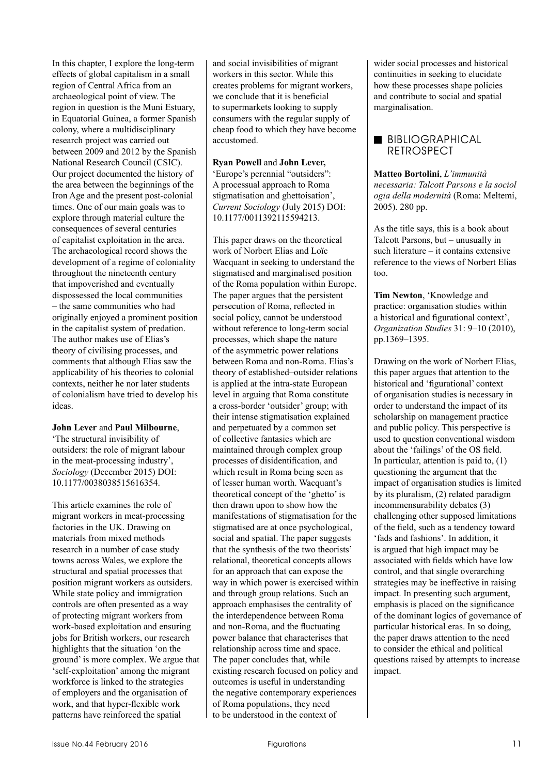In this chapter, I explore the long-term effects of global capitalism in a small region of Central Africa from an archaeological point of view. The region in question is the Muni Estuary, in Equatorial Guinea, a former Spanish colony, where a multidisciplinary research project was carried out between 2009 and 2012 by the Spanish National Research Council (CSIC). Our project documented the history of the area between the beginnings of the Iron Age and the present post-colonial times. One of our main goals was to explore through material culture the consequences of several centuries of capitalist exploitation in the area. The archaeological record shows the development of a regime of coloniality throughout the nineteenth century that impoverished and eventually dispossessed the local communities – the same communities who had originally enjoyed a prominent position in the capitalist system of predation. The author makes use of Elias's theory of civilising processes, and comments that although Elias saw the applicability of his theories to colonial contexts, neither he nor later students of colonialism have tried to develop his ideas.

#### **John Lever** and **Paul Milbourne**,

'The structural invisibility of outsiders: the role of migrant labour in the meat-processing industry', *Sociology* (December 2015) DOI: 10.1177/0038038515616354.

This article examines the role of migrant workers in meat-processing factories in the UK. Drawing on materials from mixed methods research in a number of case study towns across Wales, we explore the structural and spatial processes that position migrant workers as outsiders. While state policy and immigration controls are often presented as a way of protecting migrant workers from work-based exploitation and ensuring jobs for British workers, our research highlights that the situation 'on the ground' is more complex. We argue that 'self-exploitation' among the migrant workforce is linked to the strategies of employers and the organisation of work, and that hyper-flexible work patterns have reinforced the spatial

and social invisibilities of migrant workers in this sector. While this creates problems for migrant workers, we conclude that it is beneficial to supermarkets looking to supply consumers with the regular supply of cheap food to which they have become accustomed.

# **Ryan Powell** and **John Lever,**

'Europe's perennial "outsiders": A processual approach to Roma stigmatisation and ghettoisation', *Current Sociology* (July 2015) DOI: 10.1177/0011392115594213.

This paper draws on the theoretical work of Norbert Elias and Loïc Wacquant in seeking to understand the stigmatised and marginalised position of the Roma population within Europe. The paper argues that the persistent persecution of Roma, reflected in social policy, cannot be understood without reference to long-term social processes, which shape the nature of the asymmetric power relations between Roma and non-Roma. Elias's theory of established–outsider relations is applied at the intra-state European level in arguing that Roma constitute a cross-border 'outsider' group; with their intense stigmatisation explained and perpetuated by a common set of collective fantasies which are maintained through complex group processes of disidentification, and which result in Roma being seen as of lesser human worth. Wacquant's theoretical concept of the 'ghetto' is then drawn upon to show how the manifestations of stigmatisation for the stigmatised are at once psychological, social and spatial. The paper suggests that the synthesis of the two theorists' relational, theoretical concepts allows for an approach that can expose the way in which power is exercised within and through group relations. Such an approach emphasises the centrality of the interdependence between Roma and non-Roma, and the fluctuating power balance that characterises that relationship across time and space. The paper concludes that, while existing research focused on policy and outcomes is useful in understanding the negative contemporary experiences of Roma populations, they need to be understood in the context of

wider social processes and historical continuities in seeking to elucidate how these processes shape policies and contribute to social and spatial marginalisation.

# BIBLIOGRAPHICAL **RETROSPECT**

**Matteo Bortolini**, *L'immunità necessaria: Talcott Parsons e la sociol ogia della modernità* (Roma: Meltemi, 2005). 280 pp.

As the title says, this is a book about Talcott Parsons, but – unusually in such literature – it contains extensive reference to the views of Norbert Elias too.

**Tim Newton**, 'Knowledge and practice: organisation studies within a historical and figurational context', *Organization Studies* 31: 9–10 (2010), pp.1369–1395.

Drawing on the work of Norbert Elias, this paper argues that attention to the historical and 'figurational' context of organisation studies is necessary in order to understand the impact of its scholarship on management practice and public policy. This perspective is used to question conventional wisdom about the 'failings' of the OS field. In particular, attention is paid to, (1) questioning the argument that the impact of organisation studies is limited by its pluralism, (2) related paradigm incommensurability debates (3) challenging other supposed limitations of the field, such as a tendency toward 'fads and fashions'. In addition, it is argued that high impact may be associated with fields which have low control, and that single overarching strategies may be ineffective in raising impact. In presenting such argument, emphasis is placed on the significance of the dominant logics of governance of particular historical eras. In so doing, the paper draws attention to the need to consider the ethical and political questions raised by attempts to increase impact.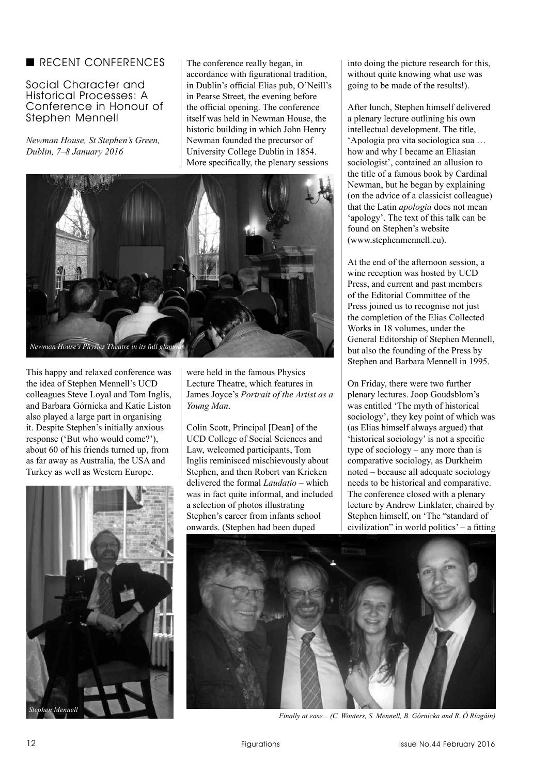# RECENT CONFERENCES

Social Character and Historical Processes: A Conference in Honour of Stephen Mennell

*Newman House, St Stephen's Green, Dublin, 7–8 January 2016*

The conference really began, in accordance with figurational tradition, in Dublin's official Elias pub, O'Neill's in Pearse Street, the evening before the official opening. The conference itself was held in Newman House, the historic building in which John Henry Newman founded the precursor of University College Dublin in 1854. More specifically, the plenary sessions



This happy and relaxed conference was the idea of Stephen Mennell's UCD colleagues Steve Loyal and Tom Inglis, and Barbara Górnicka and Katie Liston also played a large part in organising it. Despite Stephen's initially anxious response ('But who would come?'), about 60 of his friends turned up, from as far away as Australia, the USA and Turkey as well as Western Europe.



were held in the famous Physics Lecture Theatre, which features in James Joyce's *Portrait of the Artist as a Young Man*.

Colin Scott, Principal [Dean] of the UCD College of Social Sciences and Law, welcomed participants, Tom Inglis reminisced mischievously about Stephen, and then Robert van Krieken delivered the formal *Laudatio* – which was in fact quite informal, and included a selection of photos illustrating Stephen's career from infants school onwards. (Stephen had been duped

into doing the picture research for this, without quite knowing what use was going to be made of the results!).

After lunch, Stephen himself delivered a plenary lecture outlining his own intellectual development. The title, 'Apologia pro vita sociologica sua … how and why I became an Eliasian sociologist', contained an allusion to the title of a famous book by Cardinal Newman, but he began by explaining (on the advice of a classicist colleague) that the Latin *apologia* does not mean 'apology'. The text of this talk can be found on Stephen's website (www.stephenmennell.eu).

At the end of the afternoon session, a wine reception was hosted by UCD Press, and current and past members of the Editorial Committee of the Press joined us to recognise not just the completion of the Elias Collected Works in 18 volumes, under the General Editorship of Stephen Mennell, but also the founding of the Press by Stephen and Barbara Mennell in 1995.

On Friday, there were two further plenary lectures. Joop Goudsblom's was entitled 'The myth of historical sociology', they key point of which was (as Elias himself always argued) that 'historical sociology' is not a specific type of sociology – any more than is comparative sociology, as Durkheim noted – because all adequate sociology needs to be historical and comparative. The conference closed with a plenary lecture by Andrew Linklater, chaired by Stephen himself, on 'The "standard of civilization" in world politics' – a fitting



*Finally at ease... (C. Wouters, S. Mennell, B. Górnicka and R. Ó Ríagáin)*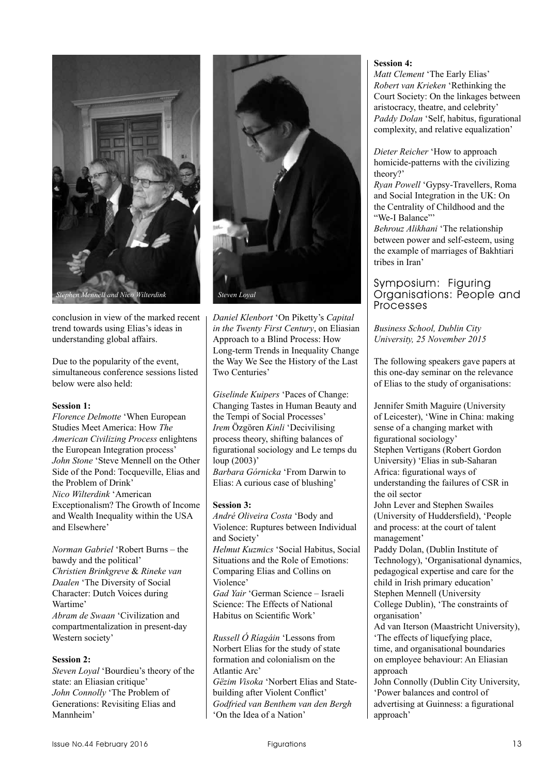

conclusion in view of the marked recent trend towards using Elias's ideas in understanding global affairs.

Due to the popularity of the event, simultaneous conference sessions listed below were also held:

#### **Session 1:**

*Florence Delmotte* 'When European Studies Meet America: How *The American Civilizing Process* enlightens the European Integration process' *John Stone* 'Steve Mennell on the Other Side of the Pond: Tocqueville, Elias and the Problem of Drink' *Nico Wilterdink* 'American Exceptionalism? The Growth of Income and Wealth Inequality within the USA and Elsewhere'

*Norman Gabriel* 'Robert Burns – the bawdy and the political' *Christien Brinkgreve* & *Rineke van Daalen* 'The Diversity of Social Character: Dutch Voices during Wartime' *Abram de Swaan* 'Civilization and compartmentalization in present-day Western society'

#### **Session 2:**

*Steven Loyal* 'Bourdieu's theory of the state: an Eliasian critique' *John Connolly* 'The Problem of Generations: Revisiting Elias and Mannheim'



*Daniel Klenbort* 'On Piketty's *Capital in the Twenty First Century*, on Eliasian Approach to a Blind Process: How Long-term Trends in Inequality Change the Way We See the History of the Last Two Centuries'

*Giselinde Kuipers* 'Paces of Change: Changing Tastes in Human Beauty and the Tempi of Social Processes' *Irem* Ӧzgӧren *Kinli* 'Decivilising process theory, shifting balances of figurational sociology and Le temps du loup (2003)' *Barbara Górnicka* 'From Darwin to Elias: A curious case of blushing'

#### **Session 3:**

*André Oliveira Costa* 'Body and Violence: Ruptures between Individual and Society' *Helmut Kuzmics* 'Social Habitus, Social Situations and the Role of Emotions: Comparing Elias and Collins on Violence' *Gad Yair* 'German Science – Israeli Science: The Effects of National Habitus on Scientific Work'

*Russell Ó Ríagáin* 'Lessons from Norbert Elias for the study of state formation and colonialism on the Atlantic Arc' *Gëzim Visoka* 'Norbert Elias and Statebuilding after Violent Conflict' *Godfried van Benthem van den Bergh* 'On the Idea of a Nation'

#### **Session 4:**

*Matt Clement* 'The Early Elias' *Robert van Krieken* 'Rethinking the Court Society: On the linkages between aristocracy, theatre, and celebrity' *Paddy Dolan* 'Self, habitus, figurational complexity, and relative equalization'

*Dieter Reicher* 'How to approach homicide-patterns with the civilizing theory?'

*Ryan Powell* 'Gypsy-Travellers, Roma and Social Integration in the UK: On the Centrality of Childhood and the "We-I Balance"'

*Behrouz Alikhani* 'The relationship between power and self-esteem, using the example of marriages of Bakhtiari tribes in Iran'

# Symposium: Figuring Organisations: People and Processes

*Business School, Dublin City University, 25 November 2015*

The following speakers gave papers at this one-day seminar on the relevance of Elias to the study of organisations:

Jennifer Smith Maguire (University of Leicester), 'Wine in China: making sense of a changing market with figurational sociology' Stephen Vertigans (Robert Gordon University) 'Elias in sub-Saharan Africa: figurational ways of understanding the failures of CSR in the oil sector John Lever and Stephen Swailes

(University of Huddersfield), 'People and process: at the court of talent management'

Paddy Dolan, (Dublin Institute of Technology), 'Organisational dynamics, pedagogical expertise and care for the child in Irish primary education' Stephen Mennell (University College Dublin), 'The constraints of organisation'

Ad van Iterson (Maastricht University), 'The effects of liquefying place, time, and organisational boundaries on employee behaviour: An Eliasian approach

John Connolly (Dublin City University, 'Power balances and control of advertising at Guinness: a figurational approach'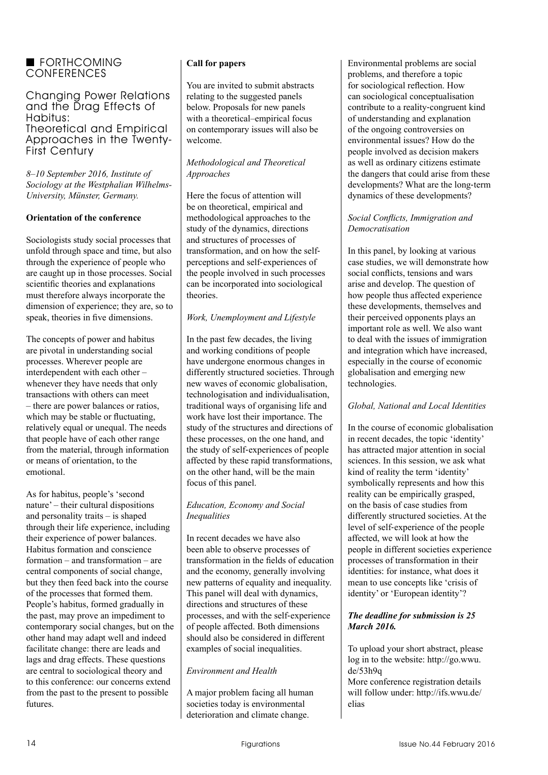# **FORTHCOMING** CONFERENCES

#### Changing Power Relations and the Drag Effects of Habitus: Theoretical and Empirical Approaches in the Twenty-First Century

*8–10 September 2016, Institute of Sociology at the Westphalian Wilhelms-University, Münster, Germany.*

#### **Orientation of the conference**

Sociologists study social processes that unfold through space and time, but also through the experience of people who are caught up in those processes. Social scientific theories and explanations must therefore always incorporate the dimension of experience; they are, so to speak, theories in five dimensions.

The concepts of power and habitus are pivotal in understanding social processes. Wherever people are interdependent with each other – whenever they have needs that only transactions with others can meet – there are power balances or ratios, which may be stable or fluctuating. relatively equal or unequal. The needs that people have of each other range from the material, through information or means of orientation, to the emotional.

As for habitus, people's 'second nature' – their cultural dispositions and personality traits – is shaped through their life experience, including their experience of power balances. Habitus formation and conscience formation – and transformation – are central components of social change, but they then feed back into the course of the processes that formed them. People's habitus, formed gradually in the past, may prove an impediment to contemporary social changes, but on the other hand may adapt well and indeed facilitate change: there are leads and lags and drag effects. These questions are central to sociological theory and to this conference: our concerns extend from the past to the present to possible futures.

# **Call for papers**

You are invited to submit abstracts relating to the suggested panels below. Proposals for new panels with a theoretical–empirical focus on contemporary issues will also be welcome.

# *Methodological and Theoretical Approaches*

Here the focus of attention will be on theoretical, empirical and methodological approaches to the study of the dynamics, directions and structures of processes of transformation, and on how the self‐ perceptions and self‐experiences of the people involved in such processes can be incorporated into sociological theories.

# *Work, Unemployment and Lifestyle*

In the past few decades, the living and working conditions of people have undergone enormous changes in differently structured societies. Through new waves of economic globalisation, technologisation and individualisation, traditional ways of organising life and work have lost their importance. The study of the structures and directions of these processes, on the one hand, and the study of self‐experiences of people affected by these rapid transformations, on the other hand, will be the main focus of this panel.

# *Education, Economy and Social Inequalities*

In recent decades we have also been able to observe processes of transformation in the fields of education and the economy, generally involving new patterns of equality and inequality. This panel will deal with dynamics, directions and structures of these processes, and with the self‐experience of people affected. Both dimensions should also be considered in different examples of social inequalities.

# *Environment and Health*

A major problem facing all human societies today is environmental deterioration and climate change.

Environmental problems are social problems, and therefore a topic for sociological reflection. How can sociological conceptualisation contribute to a reality‐congruent kind of understanding and explanation of the ongoing controversies on environmental issues? How do the people involved as decision makers as well as ordinary citizens estimate the dangers that could arise from these developments? What are the long‐term dynamics of these developments?

# *Social Conflicts, Immigration and Democratisation*

In this panel, by looking at various case studies, we will demonstrate how social conflicts, tensions and wars arise and develop. The question of how people thus affected experience these developments, themselves and their perceived opponents plays an important role as well. We also want to deal with the issues of immigration and integration which have increased, especially in the course of economic globalisation and emerging new technologies.

# *Global, National and Local Identities*

In the course of economic globalisation in recent decades, the topic 'identity' has attracted major attention in social sciences. In this session, we ask what kind of reality the term 'identity' symbolically represents and how this reality can be empirically grasped, on the basis of case studies from differently structured societies. At the level of self‐experience of the people affected, we will look at how the people in different societies experience processes of transformation in their identities: for instance, what does it mean to use concepts like 'crisis of identity' or 'European identity'?

# *The deadline for submission is 25 March 2016.*

To upload your short abstract, please log in to the website: http://go.wwu. de/53h9q

More conference registration details will follow under: http://ifs.wwu.de/ elias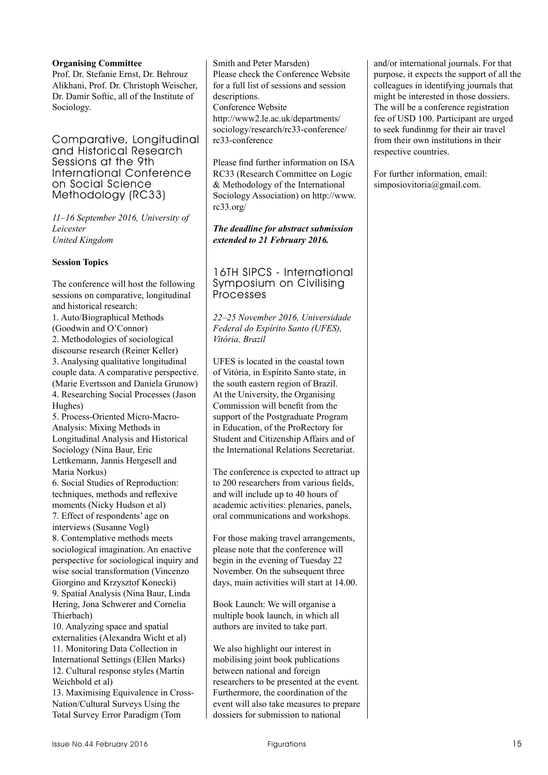#### **Organising Committee**

Prof. Dr. Stefanie Ernst, Dr. Behrouz Alikhani, Prof. Dr. Christoph Weischer, Dr. Damir Softic, all of the Institute of Sociology.

Comparative, Longitudinal and Historical Research Sessions at the 9th International Conference on Social Science Methodology (RC33)

*11–16 September 2016, University of Leicester United Kingdom*

#### **Session Topics**

The conference will host the following sessions on comparative, longitudinal and historical research: 1. Auto/Biographical Methods (Goodwin and O'Connor)

2. Methodologies of sociological discourse research (Reiner Keller) 3. Analysing qualitative longitudinal couple data. A comparative perspective. (Marie Evertsson and Daniela Grunow) 4. Researching Social Processes (Jason Hughes)

5. Process-Oriented Micro-Macro-Analysis: Mixing Methods in Longitudinal Analysis and Historical Sociology (Nina Baur, Eric Lettkemann, Jannis Hergesell and Maria Norkus) 6. Social Studies of Reproduction:

techniques, methods and reflexive moments (Nicky Hudson et al) 7. Effect of respondents' age on interviews (Susanne Vogl)

8. Contemplative methods meets sociological imagination. An enactive perspective for sociological inquiry and wise social transformation (Vincenzo Giorgino and Krzysztof Konecki) 9. Spatial Analysis (Nina Baur, Linda Hering, Jona Schwerer and Cornelia Thierbach)

10. Analyzing space and spatial externalities (Alexandra Wicht et al) 11. Monitoring Data Collection in International Settings (Ellen Marks) 12. Cultural response styles (Martin Weichbold et al)

13. Maximising Equivalence in Cross-Nation/Cultural Surveys Using the Total Survey Error Paradigm (Tom

Smith and Peter Marsden) Please check the Conference Website for a full list of sessions and session descriptions. Conference Website http://www2.le.ac.uk/departments/ sociology/research/rc33-conference/ rc33-conference

Please find further information on ISA RC33 (Research Committee on Logic & Methodology of the International Sociology Association) on http://www. rc33.org/

*The deadline for abstract submission extended to 21 February 2016.*

16TH SIPCS - International Symposium on Civilising Processes

*22–25 November 2016, Universidade Federal do Espírito Santo (UFES), Vitória, Brazil*

UFES is located in the coastal town of Vitória, in Espírito Santo state, in the south eastern region of Brazil. At the University, the Organising Commission will benefit from the support of the Postgraduate Program in Education, of the ProRectory for Student and Citizenship Affairs and of the International Relations Secretariat.

The conference is expected to attract up to 200 researchers from various fields, and will include up to 40 hours of academic activities: plenaries, panels, oral communications and workshops.

For those making travel arrangements, please note that the conference will begin in the evening of Tuesday 22 November. On the subsequent three days, main activities will start at 14.00.

Book Launch: We will organise a multiple book launch, in which all authors are invited to take part.

We also highlight our interest in mobilising joint book publications between national and foreign researchers to be presented at the event. Furthermore, the coordination of the event will also take measures to prepare dossiers for submission to national

and/or international journals. For that purpose, it expects the support of all the colleagues in identifying journals that might be interested in those dossiers. The will be a conference registration fee of USD 100. Participant are urged to seek fundinmg for their air travel from their own institutions in their respective countries.

For further information, email: simposiovitoria@gmail.com.